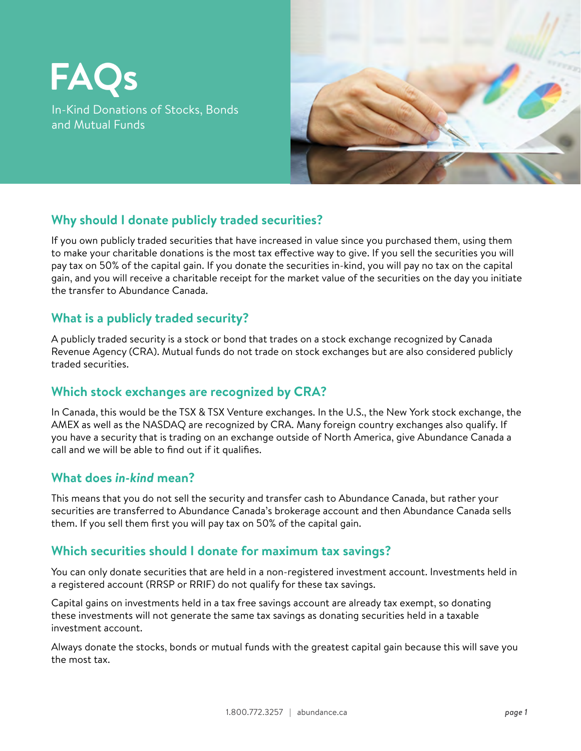



## **Why should I donate publicly traded securities?**

If you own publicly traded securities that have increased in value since you purchased them, using them to make your charitable donations is the most tax effective way to give. If you sell the securities you will pay tax on 50% of the capital gain. If you donate the securities in-kind, you will pay no tax on the capital gain, and you will receive a charitable receipt for the market value of the securities on the day you initiate the transfer to Abundance Canada.

### **What is a publicly traded security?**

A publicly traded security is a stock or bond that trades on a stock exchange recognized by Canada Revenue Agency (CRA). Mutual funds do not trade on stock exchanges but are also considered publicly traded securities.

### **Which stock exchanges are recognized by CRA?**

In Canada, this would be the TSX & TSX Venture exchanges. In the U.S., the New York stock exchange, the AMEX as well as the NASDAQ are recognized by CRA. Many foreign country exchanges also qualify. If you have a security that is trading on an exchange outside of North America, give Abundance Canada a call and we will be able to find out if it qualifies.

#### **What does** *in-kind* **mean?**

This means that you do not sell the security and transfer cash to Abundance Canada, but rather your securities are transferred to Abundance Canada's brokerage account and then Abundance Canada sells them. If you sell them first you will pay tax on 50% of the capital gain.

#### **Which securities should I donate for maximum tax savings?**

You can only donate securities that are held in a non-registered investment account. Investments held in a registered account (RRSP or RRIF) do not qualify for these tax savings.

Capital gains on investments held in a tax free savings account are already tax exempt, so donating these investments will not generate the same tax savings as donating securities held in a taxable investment account.

Always donate the stocks, bonds or mutual funds with the greatest capital gain because this will save you the most tax.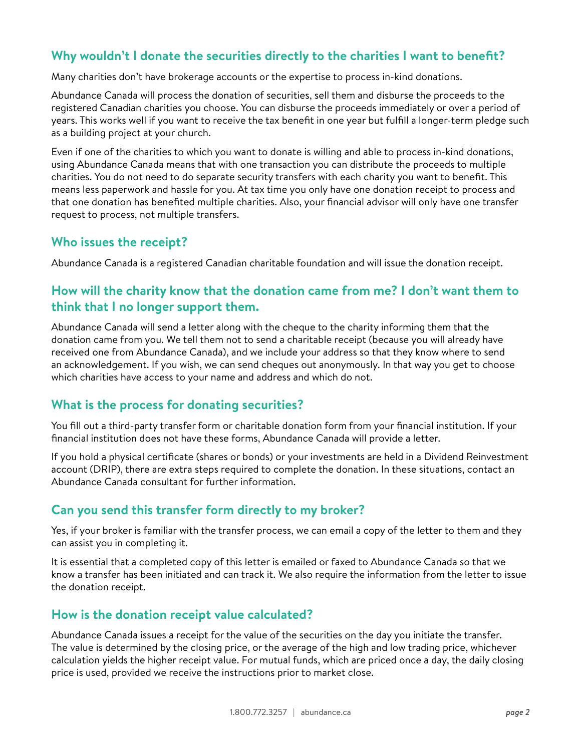# **Why wouldn't I donate the securities directly to the charities I want to benefit?**

Many charities don't have brokerage accounts or the expertise to process in-kind donations.

Abundance Canada will process the donation of securities, sell them and disburse the proceeds to the registered Canadian charities you choose. You can disburse the proceeds immediately or over a period of years. This works well if you want to receive the tax benefit in one year but fulfill a longer-term pledge such as a building project at your church.

Even if one of the charities to which you want to donate is willing and able to process in-kind donations, using Abundance Canada means that with one transaction you can distribute the proceeds to multiple charities. You do not need to do separate security transfers with each charity you want to benefit. This means less paperwork and hassle for you. At tax time you only have one donation receipt to process and that one donation has benefited multiple charities. Also, your financial advisor will only have one transfer request to process, not multiple transfers.

#### **Who issues the receipt?**

Abundance Canada is a registered Canadian charitable foundation and will issue the donation receipt.

## **How will the charity know that the donation came from me? I don't want them to think that I no longer support them.**

Abundance Canada will send a letter along with the cheque to the charity informing them that the donation came from you. We tell them not to send a charitable receipt (because you will already have received one from Abundance Canada), and we include your address so that they know where to send an acknowledgement. If you wish, we can send cheques out anonymously. In that way you get to choose which charities have access to your name and address and which do not.

### **What is the process for donating securities?**

You fill out a third-party transfer form or charitable donation form from your financial institution. If your financial institution does not have these forms, Abundance Canada will provide a letter.

If you hold a physical certificate (shares or bonds) or your investments are held in a Dividend Reinvestment account (DRIP), there are extra steps required to complete the donation. In these situations, contact an Abundance Canada consultant for further information.

### **Can you send this transfer form directly to my broker?**

Yes, if your broker is familiar with the transfer process, we can email a copy of the letter to them and they can assist you in completing it.

It is essential that a completed copy of this letter is emailed or faxed to Abundance Canada so that we know a transfer has been initiated and can track it. We also require the information from the letter to issue the donation receipt.

#### **How is the donation receipt value calculated?**

Abundance Canada issues a receipt for the value of the securities on the day you initiate the transfer. The value is determined by the closing price, or the average of the high and low trading price, whichever calculation yields the higher receipt value. For mutual funds, which are priced once a day, the daily closing price is used, provided we receive the instructions prior to market close.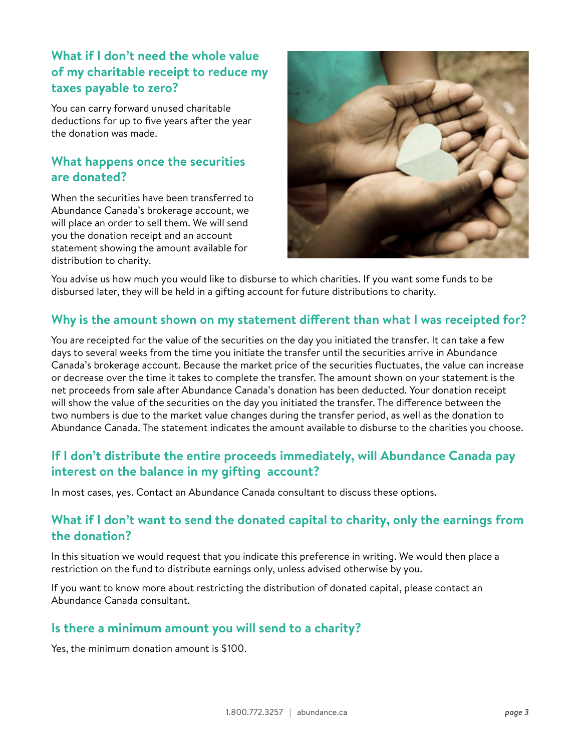# **What if I don't need the whole value of my charitable receipt to reduce my taxes payable to zero?**

You can carry forward unused charitable deductions for up to five years after the year the donation was made.

## **What happens once the securities are donated?**

When the securities have been transferred to Abundance Canada's brokerage account, we will place an order to sell them. We will send you the donation receipt and an account statement showing the amount available for distribution to charity.



You advise us how much you would like to disburse to which charities. If you want some funds to be disbursed later, they will be held in a gifting account for future distributions to charity.

### **Why is the amount shown on my statement different than what I was receipted for?**

You are receipted for the value of the securities on the day you initiated the transfer. It can take a few days to several weeks from the time you initiate the transfer until the securities arrive in Abundance Canada's brokerage account. Because the market price of the securities fluctuates, the value can increase or decrease over the time it takes to complete the transfer. The amount shown on your statement is the net proceeds from sale after Abundance Canada's donation has been deducted. Your donation receipt will show the value of the securities on the day you initiated the transfer. The difference between the two numbers is due to the market value changes during the transfer period, as well as the donation to Abundance Canada. The statement indicates the amount available to disburse to the charities you choose.

### **If I don't distribute the entire proceeds immediately, will Abundance Canada pay interest on the balance in my gifting account?**

In most cases, yes. Contact an Abundance Canada consultant to discuss these options.

## **What if I don't want to send the donated capital to charity, only the earnings from the donation?**

In this situation we would request that you indicate this preference in writing. We would then place a restriction on the fund to distribute earnings only, unless advised otherwise by you.

If you want to know more about restricting the distribution of donated capital, please contact an Abundance Canada consultant.

#### **Is there a minimum amount you will send to a charity?**

Yes, the minimum donation amount is \$100.